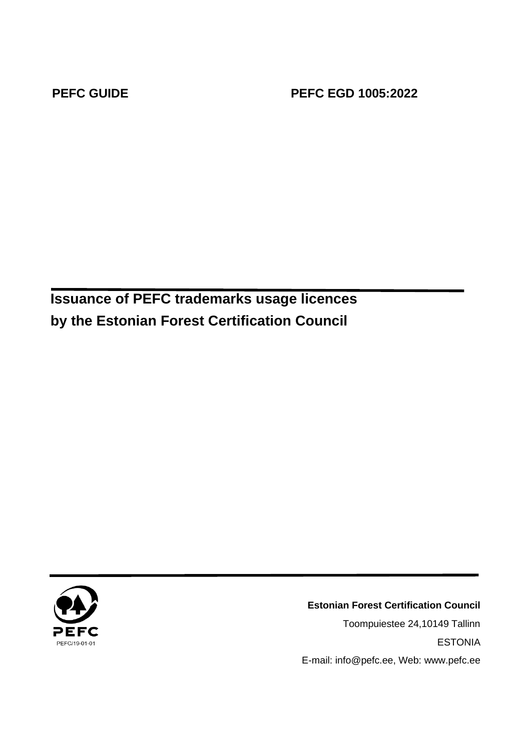**PEFC GUIDE PEFC EGD 1005:2022**

**Issuance of PEFC trademarks usage licences by the Estonian Forest Certification Council**



**Estonian Forest Certification Council** Toompuiestee 24,10149 Tallinn ESTONIA E-mail: info@pefc.ee, Web: www.pefc.ee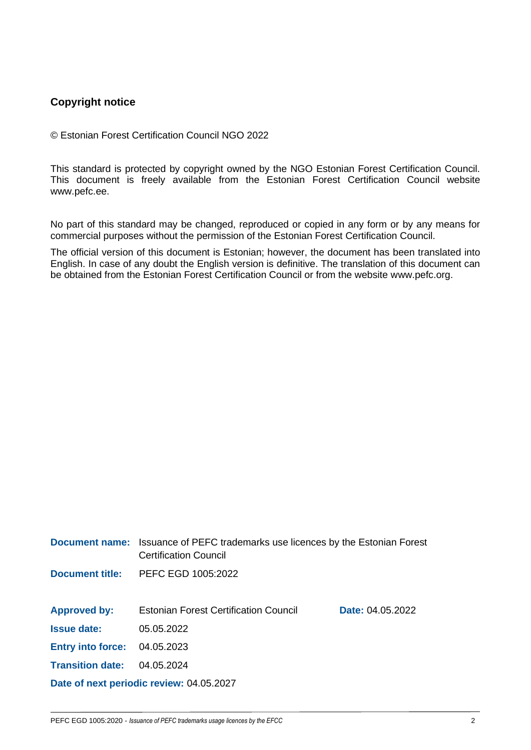# **Copyright notice**

© Estonian Forest Certification Council NGO 2022

This standard is protected by copyright owned by the NGO Estonian Forest Certification Council. This document is freely available from the Estonian Forest Certification Council website www.pefc.ee.

No part of this standard may be changed, reproduced or copied in any form or by any means for commercial purposes without the permission of the Estonian Forest Certification Council.

The official version of this document is Estonian; however, the document has been translated into English. In case of any doubt the English version is definitive. The translation of this document can be obtained from the Estonian Forest Certification Council or from the website www.pefc.org.

|                          | <b>Document name:</b> Issuance of PEFC trademarks use licences by the Estonian Forest<br><b>Certification Council</b> |                         |
|--------------------------|-----------------------------------------------------------------------------------------------------------------------|-------------------------|
| <b>Document title:</b>   | PEFC EGD 1005:2022                                                                                                    |                         |
|                          |                                                                                                                       |                         |
| <b>Approved by:</b>      | <b>Estonian Forest Certification Council</b>                                                                          | <b>Date: 04.05.2022</b> |
| <b>Issue date:</b>       | 05.05.2022                                                                                                            |                         |
| <b>Entry into force:</b> | 04.05.2023                                                                                                            |                         |
| <b>Transition date:</b>  | 04.05.2024                                                                                                            |                         |
|                          | Date of next periodic review: 04.05.2027                                                                              |                         |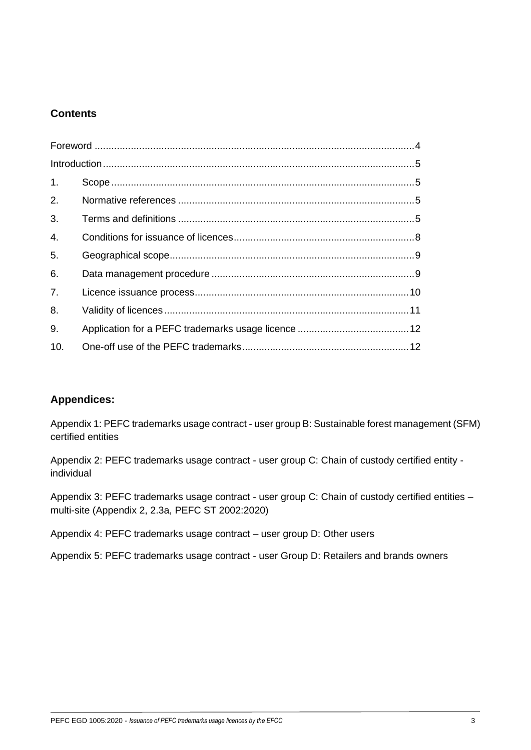# **Contents**

| $\mathbf{1}$ .   |  |
|------------------|--|
| 2.               |  |
| 3.               |  |
| $\overline{4}$ . |  |
| 5.               |  |
| 6.               |  |
| 7.               |  |
| 8.               |  |
| 9.               |  |
| 10.              |  |

# **Appendices:**

Appendix 1: PEFC trademarks usage contract - user group B: Sustainable forest management (SFM) certified entities

Appendix 2: PEFC trademarks usage contract - user group C: Chain of custody certified entity individual

Appendix 3: PEFC trademarks usage contract - user group C: Chain of custody certified entities multi-site (Appendix 2, 2.3a, PEFC ST 2002:2020)

Appendix 4: PEFC trademarks usage contract – user group D: Other users

Appendix 5: PEFC trademarks usage contract - user Group D: Retailers and brands owners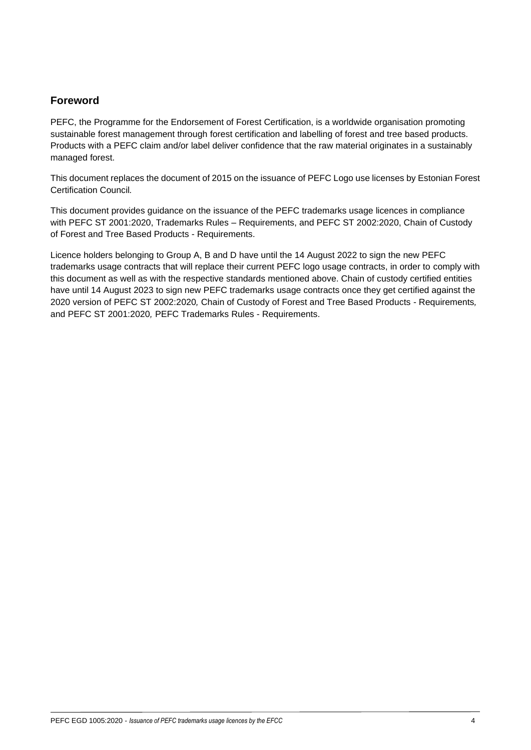# <span id="page-3-0"></span>**Foreword**

PEFC, the Programme for the Endorsement of Forest Certification, is a worldwide organisation promoting sustainable forest management through forest certification and labelling of forest and tree based products. Products with a PEFC claim and/or label deliver confidence that the raw material originates in a sustainably managed forest.

This document replaces the document of 2015 on the issuance of PEFC Logo use licenses by Estonian Forest Certification Council*.*

This document provides guidance on the issuance of the PEFC trademarks usage licences in compliance with PEFC ST 2001:2020, Trademarks Rules – Requirements, and PEFC ST 2002:2020, Chain of Custody of Forest and Tree Based Products - Requirements.

Licence holders belonging to Group A, B and D have until the 14 August 2022 to sign the new PEFC trademarks usage contracts that will replace their current PEFC logo usage contracts, in order to comply with this document as well as with the respective standards mentioned above. Chain of custody certified entities have until 14 August 2023 to sign new PEFC trademarks usage contracts once they get certified against the 2020 version of PEFC ST 2002:2020*,* Chain of Custody of Forest and Tree Based Products - Requirements*,*  and PEFC ST 2001:2020*,* PEFC Trademarks Rules - Requirements.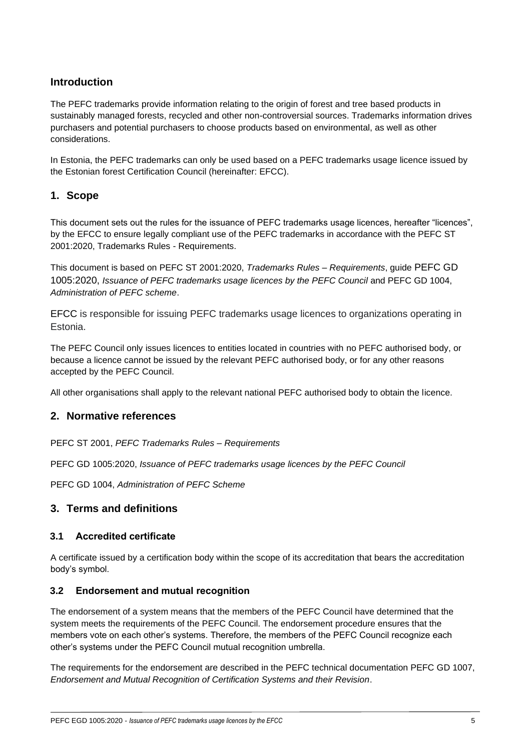# <span id="page-4-0"></span>**Introduction**

The PEFC trademarks provide information relating to the origin of forest and tree based products in sustainably managed forests, recycled and other non-controversial sources. Trademarks information drives purchasers and potential purchasers to choose products based on environmental, as well as other considerations.

In Estonia, the PEFC trademarks can only be used based on a PEFC trademarks usage licence issued by the Estonian forest Certification Council (hereinafter: EFCC).

# <span id="page-4-1"></span>**1. Scope**

This document sets out the rules for the issuance of PEFC trademarks usage licences, hereafter "licences", by the EFCC to ensure legally compliant use of the PEFC trademarks in accordance with the PEFC ST 2001:2020, Trademarks Rules - Requirements.

This document is based on PEFC ST 2001:2020, *Trademarks Rules – Requirements*, guide PEFC GD 1005:2020, *Issuance of PEFC trademarks usage licences by the PEFC Council* and PEFC GD 1004, *Administration of PEFC scheme*.

EFCC is responsible for issuing PEFC trademarks usage licences to organizations operating in Estonia.

The PEFC Council only issues licences to entities located in countries with no PEFC authorised body, or because a licence cannot be issued by the relevant PEFC authorised body, or for any other reasons accepted by the PEFC Council.

All other organisations shall apply to the relevant national PEFC authorised body to obtain the licence.

### <span id="page-4-2"></span>**2. Normative references**

PEFC ST 2001, *PEFC Trademarks Rules – Requirements*

PEFC GD 1005:2020, *Issuance of PEFC trademarks usage licences by the PEFC Council*

PEFC GD 1004, *Administration of PEFC Scheme*

# <span id="page-4-3"></span>**3. Terms and definitions**

### **3.1 Accredited certificate**

A certificate issued by a certification body within the scope of its accreditation that bears the accreditation body's symbol.

### **3.2 Endorsement and mutual recognition**

The endorsement of a system means that the members of the PEFC Council have determined that the system meets the requirements of the PEFC Council. The endorsement procedure ensures that the members vote on each other's systems. Therefore, the members of the PEFC Council recognize each other's systems under the PEFC Council mutual recognition umbrella.

The requirements for the endorsement are described in the PEFC technical documentation PEFC GD 1007, *Endorsement and Mutual Recognition of Certification Systems and their Revision*.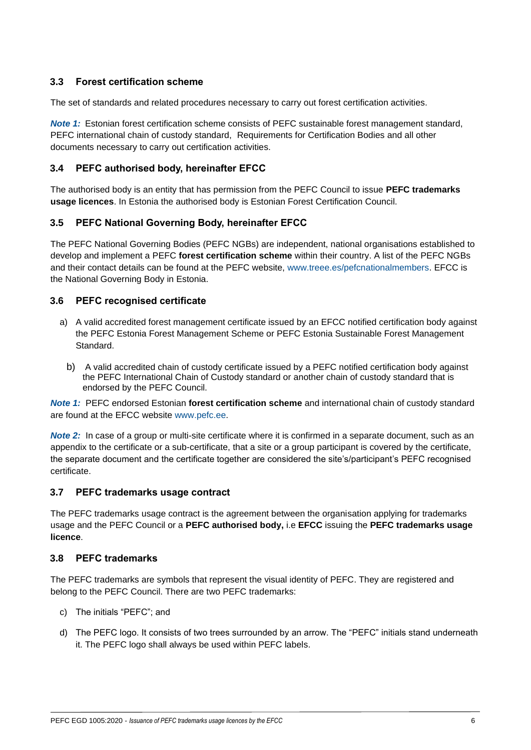# **3.3 Forest certification scheme**

The set of standards and related procedures necessary to carry out forest certification activities.

*Note 1:* Estonian forest certification scheme consists of PEFC sustainable forest management standard, PEFC international chain of custody standard, Requirements for Certification Bodies and all other documents necessary to carry out certification activities.

## **3.4 PEFC authorised body, hereinafter EFCC**

The authorised body is an entity that has permission from the PEFC Council to issue **PEFC trademarks usage licences**. In Estonia the authorised body is Estonian Forest Certification Council.

## **3.5 PEFC National Governing Body, hereinafter EFCC**

The PEFC National Governing Bodies (PEFC NGBs) are independent, national organisations established to develop and implement a PEFC **forest certification scheme** within their country. A list of the PEFC NGBs and their contact details can be found at the PEFC website, [www.treee.es/pefcnationalmembers.](http://www.treee.es/pefcnationalmembers) EFCC is the National Governing Body in Estonia.

### **3.6 PEFC recognised certificate**

- a) A valid accredited forest management certificate issued by an EFCC notified certification body against the PEFC Estonia Forest Management Scheme or PEFC Estonia Sustainable Forest Management Standard.
	- b) A valid accredited chain of custody certificate issued by a PEFC notified certification body against the PEFC International Chain of Custody standard or another chain of custody standard that is endorsed by the PEFC Council.

*Note 1:* PEFC endorsed Estonian **forest certification scheme** and international chain of custody standard are found at the EFCC website [www.pefc.ee.](http://www.treee.es/pefcnationalmembers)

*Note 2:* In case of a group or multi-site certificate where it is confirmed in a separate document, such as an appendix to the certificate or a sub-certificate, that a site or a group participant is covered by the certificate, the separate document and the certificate together are considered the site's/participant's PEFC recognised certificate.

### **3.7 PEFC trademarks usage contract**

The PEFC trademarks usage contract is the agreement between the organisation applying for trademarks usage and the PEFC Council or a **PEFC authorised body,** i.e **EFCC** issuing the **PEFC trademarks usage licence**.

### **3.8 PEFC trademarks**

The PEFC trademarks are symbols that represent the visual identity of PEFC. They are registered and belong to the PEFC Council. There are two PEFC trademarks:

- c) The initials "PEFC"; and
- d) The PEFC logo. It consists of two trees surrounded by an arrow. The "PEFC" initials stand underneath it. The PEFC logo shall always be used within PEFC labels.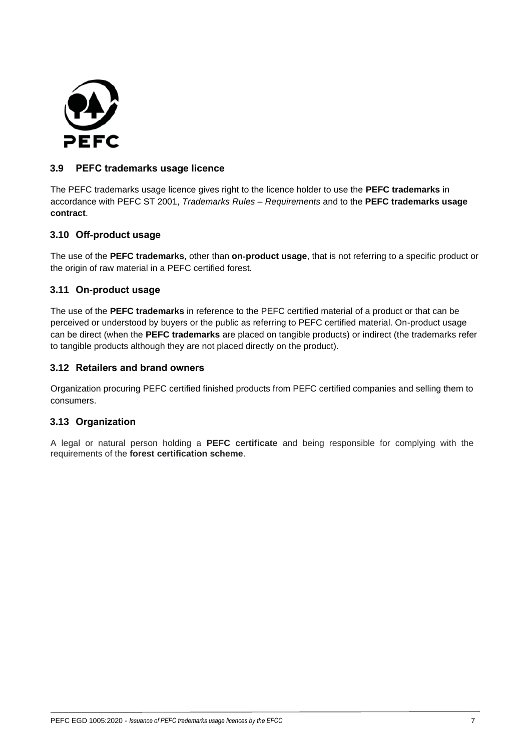

### **3.9 PEFC trademarks usage licence**

The PEFC trademarks usage licence gives right to the licence holder to use the **PEFC trademarks** in accordance with PEFC ST 2001, *Trademarks Rules – Requirements* and to the **PEFC trademarks usage contract**.

### **3.10 Off**-**product usage**

The use of the **PEFC trademarks**, other than **on**-**product usage**, that is not referring to a specific product or the origin of raw material in a PEFC certified forest.

## **3.11 On**-**product usage**

The use of the **PEFC trademarks** in reference to the PEFC certified material of a product or that can be perceived or understood by buyers or the public as referring to PEFC certified material. On-product usage can be direct (when the **PEFC trademarks** are placed on tangible products) or indirect (the trademarks refer to tangible products although they are not placed directly on the product).

## **3.12 Retailers and brand owners**

Organization procuring PEFC certified finished products from PEFC certified companies and selling them to consumers.

# **3.13 Organization**

A legal or natural person holding a **PEFC certificate** and being responsible for complying with the requirements of the **forest certification scheme**.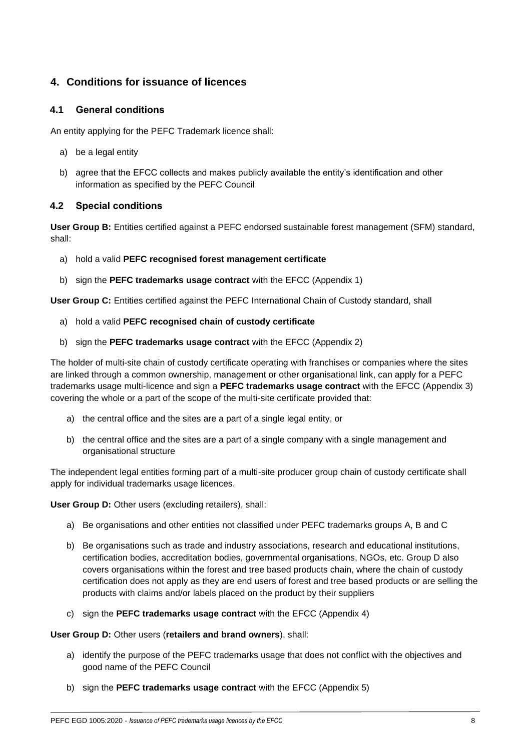# <span id="page-7-0"></span>**4. Conditions for issuance of licences**

#### **4.1 General conditions**

An entity applying for the PEFC Trademark licence shall:

- a) be a legal entity
- b) agree that the EFCC collects and makes publicly available the entity's identification and other information as specified by the PEFC Council

#### **4.2 Special conditions**

**User Group B:** Entities certified against a PEFC endorsed sustainable forest management (SFM) standard, shall:

- a) hold a valid **PEFC recognised forest management certificate**
- b) sign the **PEFC trademarks usage contract** with the EFCC (Appendix 1)

**User Group C:** Entities certified against the PEFC International Chain of Custody standard, shall

- a) hold a valid **PEFC recognised chain of custody certificate**
- b) sign the **PEFC trademarks usage contract** with the EFCC (Appendix 2)

The holder of multi-site chain of custody certificate operating with franchises or companies where the sites are linked through a common ownership, management or other organisational link, can apply for a PEFC trademarks usage multi-licence and sign a **PEFC trademarks usage contract** with the EFCC (Appendix 3) covering the whole or a part of the scope of the multi-site certificate provided that:

- a) the central office and the sites are a part of a single legal entity, or
- b) the central office and the sites are a part of a single company with a single management and organisational structure

The independent legal entities forming part of a multi-site producer group chain of custody certificate shall apply for individual trademarks usage licences.

**User Group D:** Other users (excluding retailers), shall:

- a) Be organisations and other entities not classified under PEFC trademarks groups A, B and C
- b) Be organisations such as trade and industry associations, research and educational institutions, certification bodies, accreditation bodies, governmental organisations, NGOs, etc. Group D also covers organisations within the forest and tree based products chain, where the chain of custody certification does not apply as they are end users of forest and tree based products or are selling the products with claims and/or labels placed on the product by their suppliers
- c) sign the **PEFC trademarks usage contract** with the EFCC (Appendix 4)

#### **User Group D:** Other users (**retailers and brand owners**), shall:

- a) identify the purpose of the PEFC trademarks usage that does not conflict with the objectives and good name of the PEFC Council
- b) sign the **PEFC trademarks usage contract** with the EFCC (Appendix 5)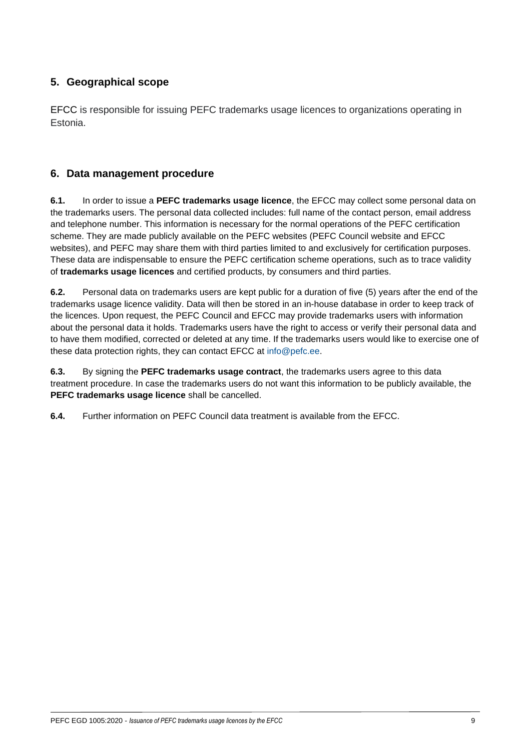# <span id="page-8-0"></span>**5. Geographical scope**

EFCC is responsible for issuing PEFC trademarks usage licences to organizations operating in Estonia.

# <span id="page-8-1"></span>**6. Data management procedure**

**6.1.** In order to issue a **PEFC trademarks usage licence**, the EFCC may collect some personal data on the trademarks users. The personal data collected includes: full name of the contact person, email address and telephone number. This information is necessary for the normal operations of the PEFC certification scheme. They are made publicly available on the PEFC websites (PEFC Council website and EFCC websites), and PEFC may share them with third parties limited to and exclusively for certification purposes. These data are indispensable to ensure the PEFC certification scheme operations, such as to trace validity of **trademarks usage licences** and certified products, by consumers and third parties.

**6.2.** Personal data on trademarks users are kept public for a duration of five (5) years after the end of the trademarks usage licence validity. Data will then be stored in an in-house database in order to keep track of the licences. Upon request, the PEFC Council and EFCC may provide trademarks users with information about the personal data it holds. Trademarks users have the right to access or verify their personal data and to have them modified, corrected or deleted at any time. If the trademarks users would like to exercise one of these data protection rights, they can contact EFCC at info@pefc.ee.

**6.3.** By signing the **PEFC trademarks usage contract**, the trademarks users agree to this data treatment procedure. In case the trademarks users do not want this information to be publicly available, the **PEFC trademarks usage licence** shall be cancelled.

**6.4.** Further information on PEFC Council data treatment is available from the EFCC.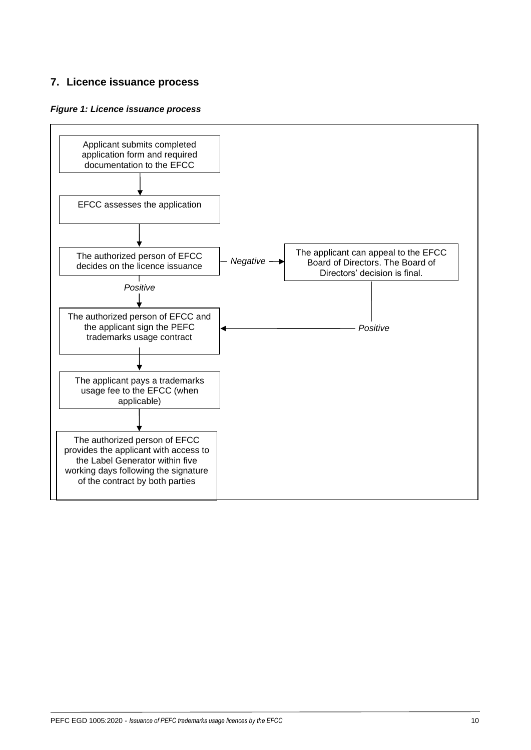# <span id="page-9-0"></span>**7. Licence issuance process**

#### *Figure 1: Licence issuance process*

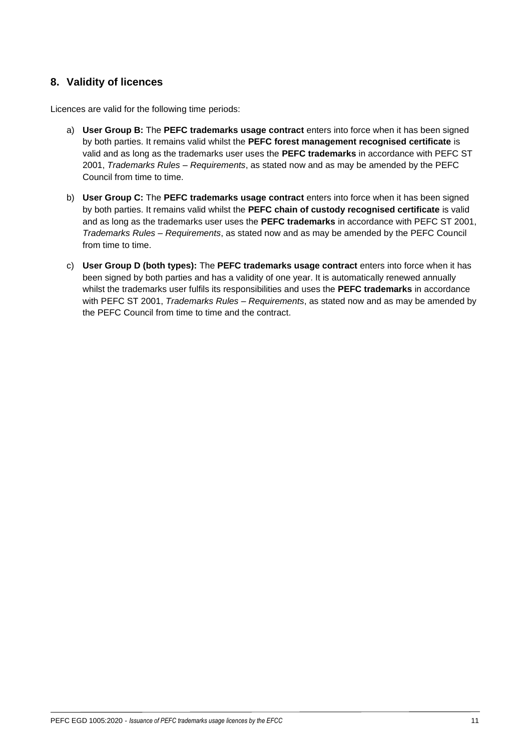# <span id="page-10-0"></span>**8. Validity of licences**

Licences are valid for the following time periods:

- a) **User Group B:** The **PEFC trademarks usage contract** enters into force when it has been signed by both parties. It remains valid whilst the **PEFC forest management recognised certificate** is valid and as long as the trademarks user uses the **PEFC trademarks** in accordance with PEFC ST 2001, *Trademarks Rules – Requirements*, as stated now and as may be amended by the PEFC Council from time to time.
- b) **User Group C:** The **PEFC trademarks usage contract** enters into force when it has been signed by both parties. It remains valid whilst the **PEFC chain of custody recognised certificate** is valid and as long as the trademarks user uses the **PEFC trademarks** in accordance with PEFC ST 2001, *Trademarks Rules – Requirements*, as stated now and as may be amended by the PEFC Council from time to time.
- c) **User Group D (both types):** The **PEFC trademarks usage contract** enters into force when it has been signed by both parties and has a validity of one year. It is automatically renewed annually whilst the trademarks user fulfils its responsibilities and uses the **PEFC trademarks** in accordance with PEFC ST 2001, *Trademarks Rules – Requirements*, as stated now and as may be amended by the PEFC Council from time to time and the contract.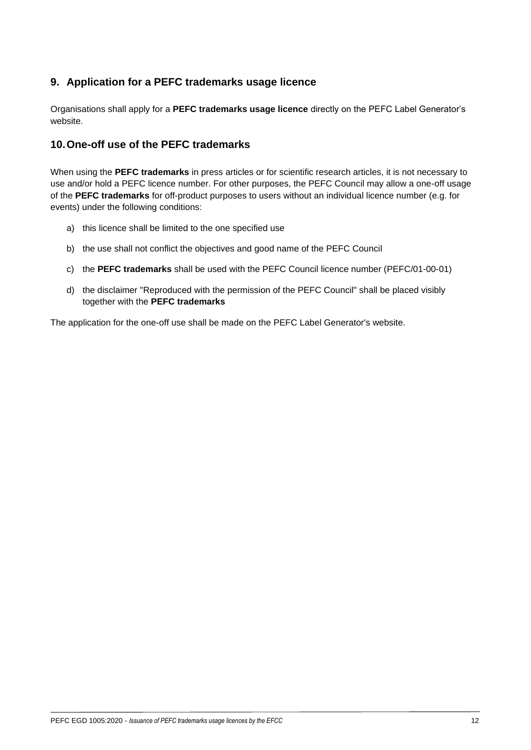# <span id="page-11-0"></span>**9. Application for a PEFC trademarks usage licence**

Organisations shall apply for a **PEFC trademarks usage licence** directly on the PEFC Label Generator's website.

## <span id="page-11-1"></span>**10.One-off use of the PEFC trademarks**

When using the **PEFC trademarks** in press articles or for scientific research articles, it is not necessary to use and/or hold a PEFC licence number. For other purposes, the PEFC Council may allow a one-off usage of the **PEFC trademarks** for off-product purposes to users without an individual licence number (e.g. for events) under the following conditions:

- a) this licence shall be limited to the one specified use
- b) the use shall not conflict the objectives and good name of the PEFC Council
- c) the **PEFC trademarks** shall be used with the PEFC Council licence number (PEFC/01-00-01)
- d) the disclaimer "Reproduced with the permission of the PEFC Council" shall be placed visibly together with the **PEFC trademarks**

The application for the one-off use shall be made on the PEFC Label Generator's website.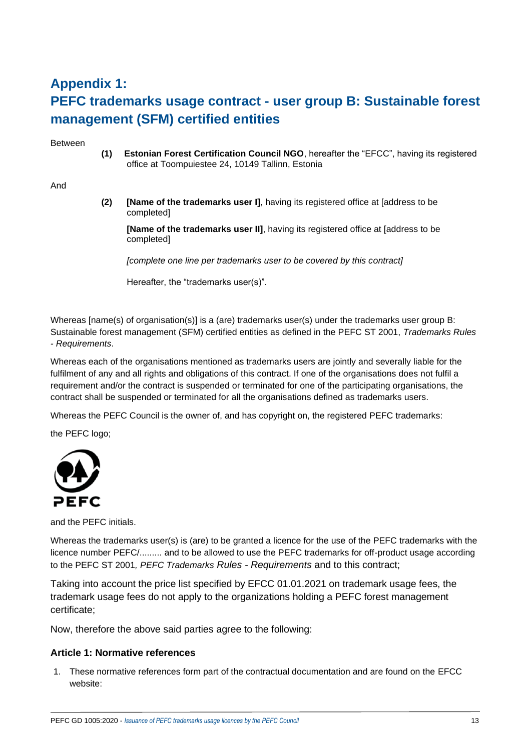# **Appendix 1: PEFC trademarks usage contract - user group B: Sustainable forest management (SFM) certified entities**

Between

**(1) Estonian Forest Certification Council NGO**, hereafter the "EFCC", having its registered office at Toompuiestee 24, 10149 Tallinn, Estonia

And

**(2) [Name of the trademarks user I]**, having its registered office at [address to be completed]

**[Name of the trademarks user II]**, having its registered office at [address to be completed]

*[complete one line per trademarks user to be covered by this contract]*

Hereafter, the "trademarks user(s)".

Whereas [name(s) of organisation(s)] is a (are) trademarks user(s) under the trademarks user group B: Sustainable forest management (SFM) certified entities as defined in the PEFC ST 2001, *Trademarks Rules - Requirements*.

Whereas each of the organisations mentioned as trademarks users are jointly and severally liable for the fulfilment of any and all rights and obligations of this contract. If one of the organisations does not fulfil a requirement and/or the contract is suspended or terminated for one of the participating organisations, the contract shall be suspended or terminated for all the organisations defined as trademarks users.

Whereas the PEFC Council is the owner of, and has copyright on, the registered PEFC trademarks:

the PEFC logo;



and the PEFC initials.

Whereas the trademarks user(s) is (are) to be granted a licence for the use of the PEFC trademarks with the licence number PEFC/......... and to be allowed to use the PEFC trademarks for off-product usage according to the PEFC ST 2001*, PEFC Trademarks Rules - Requirements* and to this contract;

Taking into account the price list specified by EFCC 01.01.2021 on trademark usage fees, the trademark usage fees do not apply to the organizations holding a PEFC forest management certificate;

Now, therefore the above said parties agree to the following:

#### **Article 1: Normative references**

1. These normative references form part of the contractual documentation and are found on the EFCC website: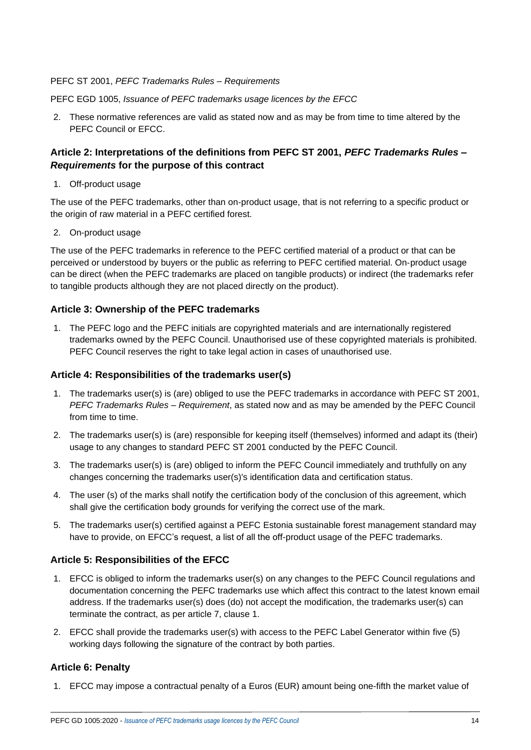#### PEFC ST 2001, *PEFC Trademarks Rules – Requirements*

PEFC EGD 1005, *Issuance of PEFC trademarks usage licences by the EFCC*

2. These normative references are valid as stated now and as may be from time to time altered by the PEFC Council or EFCC.

## **Article 2: Interpretations of the definitions from PEFC ST 2001,** *PEFC Trademarks Rules – Requirements* **for the purpose of this contract**

1. Off-product usage

The use of the PEFC trademarks, other than on-product usage, that is not referring to a specific product or the origin of raw material in a PEFC certified forest.

2. On-product usage

The use of the PEFC trademarks in reference to the PEFC certified material of a product or that can be perceived or understood by buyers or the public as referring to PEFC certified material. On-product usage can be direct (when the PEFC trademarks are placed on tangible products) or indirect (the trademarks refer to tangible products although they are not placed directly on the product).

### **Article 3: Ownership of the PEFC trademarks**

1. The PEFC logo and the PEFC initials are copyrighted materials and are internationally registered trademarks owned by the PEFC Council. Unauthorised use of these copyrighted materials is prohibited. PEFC Council reserves the right to take legal action in cases of unauthorised use.

### **Article 4: Responsibilities of the trademarks user(s)**

- 1. The trademarks user(s) is (are) obliged to use the PEFC trademarks in accordance with PEFC ST 2001, *PEFC Trademarks Rules – Requirement*, as stated now and as may be amended by the PEFC Council from time to time.
- 2. The trademarks user(s) is (are) responsible for keeping itself (themselves) informed and adapt its (their) usage to any changes to standard PEFC ST 2001 conducted by the PEFC Council.
- 3. The trademarks user(s) is (are) obliged to inform the PEFC Council immediately and truthfully on any changes concerning the trademarks user(s)'s identification data and certification status.
- 4. The user (s) of the marks shall notify the certification body of the conclusion of this agreement, which shall give the certification body grounds for verifying the correct use of the mark.
- 5. The trademarks user(s) certified against a PEFC Estonia sustainable forest management standard may have to provide, on EFCC's request, a list of all the off-product usage of the PEFC trademarks.

### **Article 5: Responsibilities of the EFCC**

- 1. EFCC is obliged to inform the trademarks user(s) on any changes to the PEFC Council regulations and documentation concerning the PEFC trademarks use which affect this contract to the latest known email address. If the trademarks user(s) does (do) not accept the modification, the trademarks user(s) can terminate the contract, as per article 7, clause 1.
- 2. EFCC shall provide the trademarks user(s) with access to the PEFC Label Generator within five (5) working days following the signature of the contract by both parties.

### **Article 6: Penalty**

1. EFCC may impose a contractual penalty of a Euros (EUR) amount being one-fifth the market value of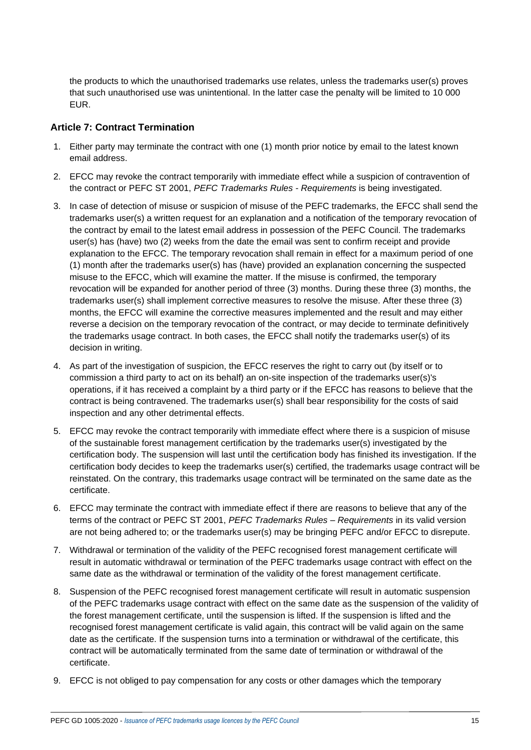the products to which the unauthorised trademarks use relates, unless the trademarks user(s) proves that such unauthorised use was unintentional. In the latter case the penalty will be limited to 10 000 EUR.

## **Article 7: Contract Termination**

- 1. Either party may terminate the contract with one (1) month prior notice by email to the latest known email address.
- 2. EFCC may revoke the contract temporarily with immediate effect while a suspicion of contravention of the contract or PEFC ST 2001, *PEFC Trademarks Rules - Requirements* is being investigated.
- 3. In case of detection of misuse or suspicion of misuse of the PEFC trademarks, the EFCC shall send the trademarks user(s) a written request for an explanation and a notification of the temporary revocation of the contract by email to the latest email address in possession of the PEFC Council. The trademarks user(s) has (have) two (2) weeks from the date the email was sent to confirm receipt and provide explanation to the EFCC. The temporary revocation shall remain in effect for a maximum period of one (1) month after the trademarks user(s) has (have) provided an explanation concerning the suspected misuse to the EFCC, which will examine the matter. If the misuse is confirmed, the temporary revocation will be expanded for another period of three (3) months. During these three (3) months, the trademarks user(s) shall implement corrective measures to resolve the misuse. After these three (3) months, the EFCC will examine the corrective measures implemented and the result and may either reverse a decision on the temporary revocation of the contract, or may decide to terminate definitively the trademarks usage contract. In both cases, the EFCC shall notify the trademarks user(s) of its decision in writing.
- 4. As part of the investigation of suspicion, the EFCC reserves the right to carry out (by itself or to commission a third party to act on its behalf) an on-site inspection of the trademarks user(s)'s operations, if it has received a complaint by a third party or if the EFCC has reasons to believe that the contract is being contravened. The trademarks user(s) shall bear responsibility for the costs of said inspection and any other detrimental effects.
- 5. EFCC may revoke the contract temporarily with immediate effect where there is a suspicion of misuse of the sustainable forest management certification by the trademarks user(s) investigated by the certification body. The suspension will last until the certification body has finished its investigation. If the certification body decides to keep the trademarks user(s) certified, the trademarks usage contract will be reinstated. On the contrary, this trademarks usage contract will be terminated on the same date as the certificate.
- 6. EFCC may terminate the contract with immediate effect if there are reasons to believe that any of the terms of the contract or PEFC ST 2001, *PEFC Trademarks Rules – Requirements* in its valid version are not being adhered to; or the trademarks user(s) may be bringing PEFC and/or EFCC to disrepute.
- 7. Withdrawal or termination of the validity of the PEFC recognised forest management certificate will result in automatic withdrawal or termination of the PEFC trademarks usage contract with effect on the same date as the withdrawal or termination of the validity of the forest management certificate.
- 8. Suspension of the PEFC recognised forest management certificate will result in automatic suspension of the PEFC trademarks usage contract with effect on the same date as the suspension of the validity of the forest management certificate, until the suspension is lifted. If the suspension is lifted and the recognised forest management certificate is valid again, this contract will be valid again on the same date as the certificate. If the suspension turns into a termination or withdrawal of the certificate, this contract will be automatically terminated from the same date of termination or withdrawal of the certificate.
- 9. EFCC is not obliged to pay compensation for any costs or other damages which the temporary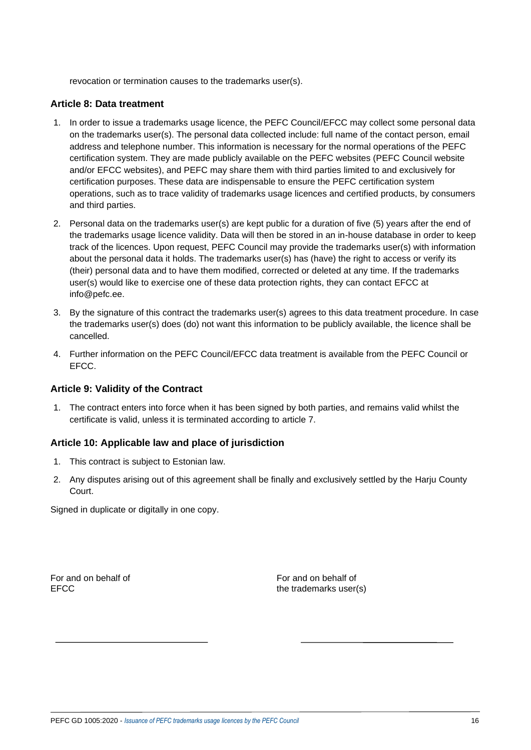revocation or termination causes to the trademarks user(s).

#### **Article 8: Data treatment**

- 1. In order to issue a trademarks usage licence, the PEFC Council/EFCC may collect some personal data on the trademarks user(s). The personal data collected include: full name of the contact person, email address and telephone number. This information is necessary for the normal operations of the PEFC certification system. They are made publicly available on the PEFC websites (PEFC Council website and/or EFCC websites), and PEFC may share them with third parties limited to and exclusively for certification purposes. These data are indispensable to ensure the PEFC certification system operations, such as to trace validity of trademarks usage licences and certified products, by consumers and third parties.
- 2. Personal data on the trademarks user(s) are kept public for a duration of five (5) years after the end of the trademarks usage licence validity. Data will then be stored in an in-house database in order to keep track of the licences. Upon request, PEFC Council may provide the trademarks user(s) with information about the personal data it holds. The trademarks user(s) has (have) the right to access or verify its (their) personal data and to have them modified, corrected or deleted at any time. If the trademarks user(s) would like to exercise one of these data protection rights, they can contact EFCC at [info@pefc.ee.](mailto:request@pefc.org)
- 3. By the signature of this contract the trademarks user(s) agrees to this data treatment procedure. In case the trademarks user(s) does (do) not want this information to be publicly available, the licence shall be cancelled.
- 4. Further information on the PEFC Council/EFCC data treatment is available from the PEFC Council or EFCC.

### **Article 9: Validity of the Contract**

1. The contract enters into force when it has been signed by both parties, and remains valid whilst the certificate is valid, unless it is terminated according to article 7.

#### **Article 10: Applicable law and place of jurisdiction**

- 1. This contract is subject to Estonian law.
- 2. Any disputes arising out of this agreement shall be finally and exclusively settled by the Harju County Court.

Signed in duplicate or digitally in one copy.

For and on behalf of For and on behalf of EFCC the trademarks user(s)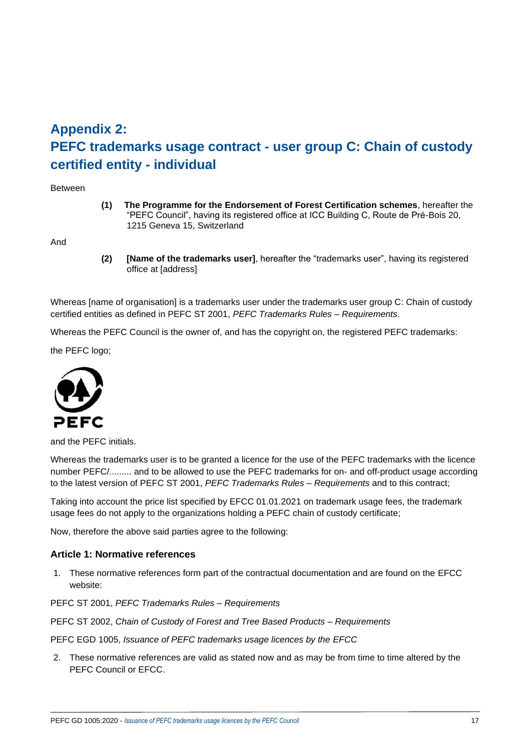# **Appendix 2: PEFC trademarks usage contract - user group C: Chain of custody certified entity - individual**

Between

**(1) The Programme for the Endorsement of Forest Certification schemes**, hereafter the "PEFC Council", having its registered office at ICC Building C, Route de Pré-Bois 20, 1215 Geneva 15, Switzerland

And

**(2) [Name of the trademarks user]**, hereafter the "trademarks user", having its registered office at [address]

Whereas Iname of organisation] is a trademarks user under the trademarks user group C: Chain of custody certified entities as defined in PEFC ST 2001, *PEFC Trademarks Rules – Requirements*.

Whereas the PEFC Council is the owner of, and has the copyright on, the registered PEFC trademarks:

the PEFC logo;



and the PEFC initials.

Whereas the trademarks user is to be granted a licence for the use of the PEFC trademarks with the licence number PEFC/......... and to be allowed to use the PEFC trademarks for on- and off-product usage according to the latest version of PEFC ST 2001, *PEFC Trademarks Rules – Requirements* and to this contract;

Taking into account the price list specified by EFCC 01.01.2021 on trademark usage fees, the trademark usage fees do not apply to the organizations holding a PEFC chain of custody certificate;

Now, therefore the above said parties agree to the following:

#### **Article 1: Normative references**

1. These normative references form part of the contractual documentation and are found on the EFCC website:

PEFC ST 2001, *PEFC Trademarks Rules – Requirements*

PEFC ST 2002, *Chain of Custody of Forest and Tree Based Products – Requirements*

PEFC EGD 1005, *Issuance of PEFC trademarks usage licences by the EFCC*

2. These normative references are valid as stated now and as may be from time to time altered by the PEFC Council or EFCC.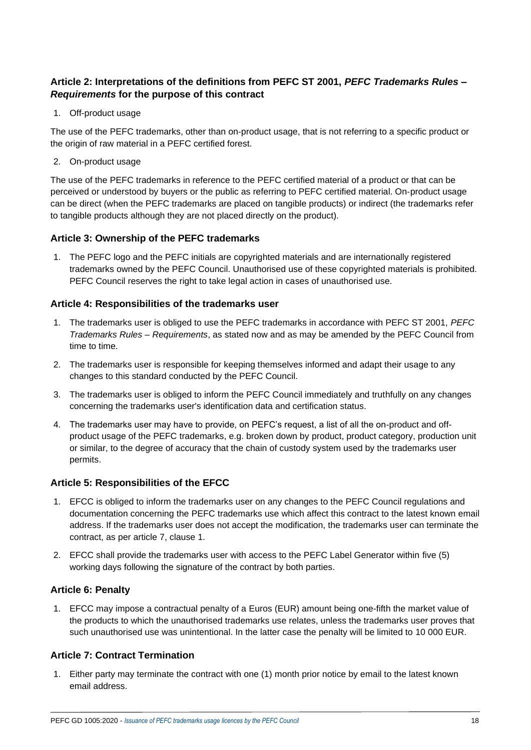# **Article 2: Interpretations of the definitions from PEFC ST 2001,** *PEFC Trademarks Rules – Requirements* **for the purpose of this contract**

1. Off-product usage

The use of the PEFC trademarks, other than on-product usage, that is not referring to a specific product or the origin of raw material in a PEFC certified forest.

2. On-product usage

The use of the PEFC trademarks in reference to the PEFC certified material of a product or that can be perceived or understood by buyers or the public as referring to PEFC certified material. On-product usage can be direct (when the PEFC trademarks are placed on tangible products) or indirect (the trademarks refer to tangible products although they are not placed directly on the product).

### **Article 3: Ownership of the PEFC trademarks**

1. The PEFC logo and the PEFC initials are copyrighted materials and are internationally registered trademarks owned by the PEFC Council. Unauthorised use of these copyrighted materials is prohibited. PEFC Council reserves the right to take legal action in cases of unauthorised use.

## **Article 4: Responsibilities of the trademarks user**

- 1. The trademarks user is obliged to use the PEFC trademarks in accordance with PEFC ST 2001, *PEFC Trademarks Rules – Requirements*, as stated now and as may be amended by the PEFC Council from time to time.
- 2. The trademarks user is responsible for keeping themselves informed and adapt their usage to any changes to this standard conducted by the PEFC Council.
- 3. The trademarks user is obliged to inform the PEFC Council immediately and truthfully on any changes concerning the trademarks user's identification data and certification status.
- 4. The trademarks user may have to provide, on PEFC's request, a list of all the on-product and offproduct usage of the PEFC trademarks, e.g. broken down by product, product category, production unit or similar, to the degree of accuracy that the chain of custody system used by the trademarks user permits.

### **Article 5: Responsibilities of the EFCC**

- 1. EFCC is obliged to inform the trademarks user on any changes to the PEFC Council regulations and documentation concerning the PEFC trademarks use which affect this contract to the latest known email address. If the trademarks user does not accept the modification, the trademarks user can terminate the contract, as per article 7, clause 1.
- 2. EFCC shall provide the trademarks user with access to the PEFC Label Generator within five (5) working days following the signature of the contract by both parties.

### **Article 6: Penalty**

1. EFCC may impose a contractual penalty of a Euros (EUR) amount being one-fifth the market value of the products to which the unauthorised trademarks use relates, unless the trademarks user proves that such unauthorised use was unintentional. In the latter case the penalty will be limited to 10 000 EUR.

# **Article 7: Contract Termination**

1. Either party may terminate the contract with one (1) month prior notice by email to the latest known email address.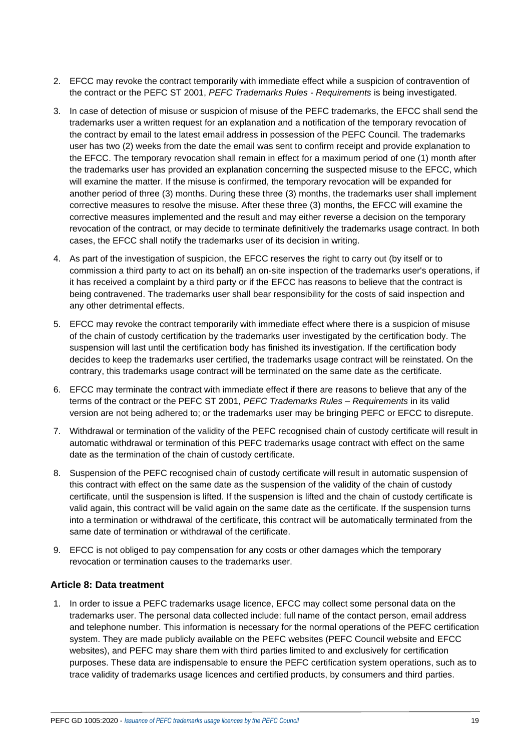- 2. EFCC may revoke the contract temporarily with immediate effect while a suspicion of contravention of the contract or the PEFC ST 2001, *PEFC Trademarks Rules - Requirements* is being investigated.
- 3. In case of detection of misuse or suspicion of misuse of the PEFC trademarks, the EFCC shall send the trademarks user a written request for an explanation and a notification of the temporary revocation of the contract by email to the latest email address in possession of the PEFC Council. The trademarks user has two (2) weeks from the date the email was sent to confirm receipt and provide explanation to the EFCC. The temporary revocation shall remain in effect for a maximum period of one (1) month after the trademarks user has provided an explanation concerning the suspected misuse to the EFCC, which will examine the matter. If the misuse is confirmed, the temporary revocation will be expanded for another period of three (3) months. During these three (3) months, the trademarks user shall implement corrective measures to resolve the misuse. After these three (3) months, the EFCC will examine the corrective measures implemented and the result and may either reverse a decision on the temporary revocation of the contract, or may decide to terminate definitively the trademarks usage contract. In both cases, the EFCC shall notify the trademarks user of its decision in writing.
- 4. As part of the investigation of suspicion, the EFCC reserves the right to carry out (by itself or to commission a third party to act on its behalf) an on-site inspection of the trademarks user's operations, if it has received a complaint by a third party or if the EFCC has reasons to believe that the contract is being contravened. The trademarks user shall bear responsibility for the costs of said inspection and any other detrimental effects.
- 5. EFCC may revoke the contract temporarily with immediate effect where there is a suspicion of misuse of the chain of custody certification by the trademarks user investigated by the certification body. The suspension will last until the certification body has finished its investigation. If the certification body decides to keep the trademarks user certified, the trademarks usage contract will be reinstated. On the contrary, this trademarks usage contract will be terminated on the same date as the certificate.
- 6. EFCC may terminate the contract with immediate effect if there are reasons to believe that any of the terms of the contract or the PEFC ST 2001, *PEFC Trademarks Rules – Requirements* in its valid version are not being adhered to; or the trademarks user may be bringing PEFC or EFCC to disrepute.
- 7. Withdrawal or termination of the validity of the PEFC recognised chain of custody certificate will result in automatic withdrawal or termination of this PEFC trademarks usage contract with effect on the same date as the termination of the chain of custody certificate.
- 8. Suspension of the PEFC recognised chain of custody certificate will result in automatic suspension of this contract with effect on the same date as the suspension of the validity of the chain of custody certificate, until the suspension is lifted. If the suspension is lifted and the chain of custody certificate is valid again, this contract will be valid again on the same date as the certificate. If the suspension turns into a termination or withdrawal of the certificate, this contract will be automatically terminated from the same date of termination or withdrawal of the certificate.
- 9. EFCC is not obliged to pay compensation for any costs or other damages which the temporary revocation or termination causes to the trademarks user.

### **Article 8: Data treatment**

1. In order to issue a PEFC trademarks usage licence, EFCC may collect some personal data on the trademarks user. The personal data collected include: full name of the contact person, email address and telephone number. This information is necessary for the normal operations of the PEFC certification system. They are made publicly available on the PEFC websites (PEFC Council website and EFCC websites), and PEFC may share them with third parties limited to and exclusively for certification purposes. These data are indispensable to ensure the PEFC certification system operations, such as to trace validity of trademarks usage licences and certified products, by consumers and third parties.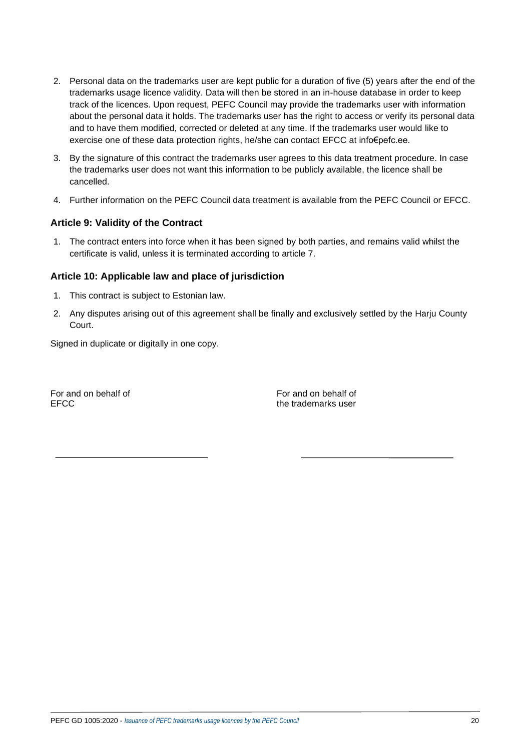- 2. Personal data on the trademarks user are kept public for a duration of five (5) years after the end of the trademarks usage licence validity. Data will then be stored in an in-house database in order to keep track of the licences. Upon request, PEFC Council may provide the trademarks user with information about the personal data it holds. The trademarks user has the right to access or verify its personal data and to have them modified, corrected or deleted at any time. If the trademarks user would like to exercise one of these data protection rights, he/she can contact EFCC at info€pefc.ee.
- 3. By the signature of this contract the trademarks user agrees to this data treatment procedure. In case the trademarks user does not want this information to be publicly available, the licence shall be cancelled.
- 4. Further information on the PEFC Council data treatment is available from the PEFC Council or EFCC.

### **Article 9: Validity of the Contract**

1. The contract enters into force when it has been signed by both parties, and remains valid whilst the certificate is valid, unless it is terminated according to article 7.

## **Article 10: Applicable law and place of jurisdiction**

- 1. This contract is subject to Estonian law.
- 2. Any disputes arising out of this agreement shall be finally and exclusively settled by the Harju County Court.

Signed in duplicate or digitally in one copy.

For and on behalf of For and on behalf of For and on behalf of FECC.

the trademarks user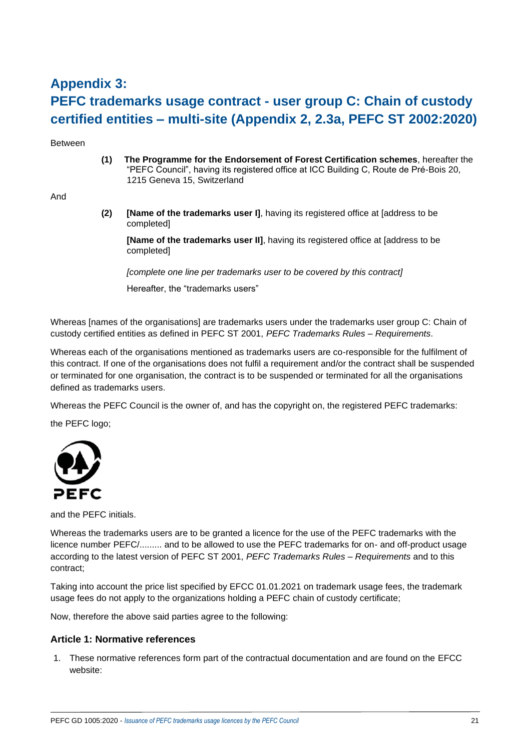# **Appendix 3: PEFC trademarks usage contract - user group C: Chain of custody certified entities – multi-site (Appendix 2, 2.3a, PEFC ST 2002:2020)**

Between

**(1) The Programme for the Endorsement of Forest Certification schemes**, hereafter the "PEFC Council", having its registered office at ICC Building C, Route de Pré-Bois 20, 1215 Geneva 15, Switzerland

And

**(2) [Name of the trademarks user I]**, having its registered office at [address to be completed]

**[Name of the trademarks user II]**, having its registered office at [address to be completed]

*[complete one line per trademarks user to be covered by this contract]* Hereafter, the "trademarks users"

Whereas [names of the organisations] are trademarks users under the trademarks user group C: Chain of custody certified entities as defined in PEFC ST 2001, *PEFC Trademarks Rules – Requirements*.

Whereas each of the organisations mentioned as trademarks users are co-responsible for the fulfilment of this contract. If one of the organisations does not fulfil a requirement and/or the contract shall be suspended or terminated for one organisation, the contract is to be suspended or terminated for all the organisations defined as trademarks users.

Whereas the PEFC Council is the owner of, and has the copyright on, the registered PEFC trademarks:

the PEFC logo;



and the PEFC initials.

Whereas the trademarks users are to be granted a licence for the use of the PEFC trademarks with the licence number PEFC/......... and to be allowed to use the PEFC trademarks for on- and off-product usage according to the latest version of PEFC ST 2001, *PEFC Trademarks Rules – Requirements* and to this contract;

Taking into account the price list specified by EFCC 01.01.2021 on trademark usage fees, the trademark usage fees do not apply to the organizations holding a PEFC chain of custody certificate;

Now, therefore the above said parties agree to the following:

### **Article 1: Normative references**

1. These normative references form part of the contractual documentation and are found on the EFCC website: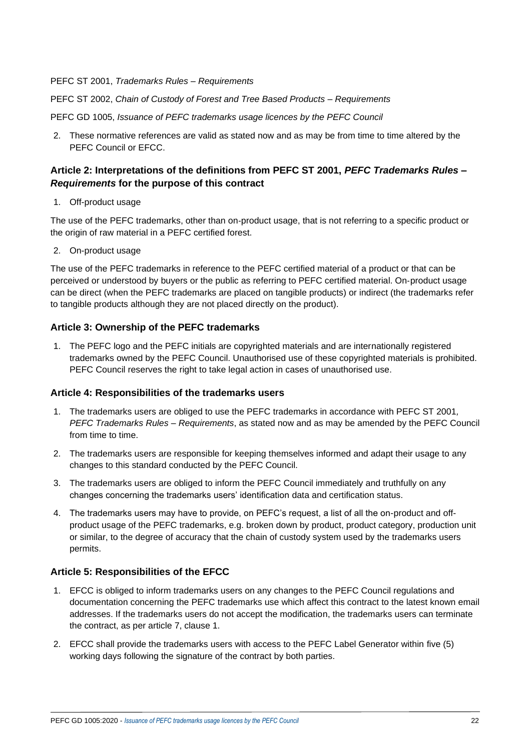#### PEFC ST 2001, *Trademarks Rules – Requirements*

PEFC ST 2002, *Chain of Custody of Forest and Tree Based Products – Requirements*

PEFC GD 1005, *Issuance of PEFC trademarks usage licences by the PEFC Council*

2. These normative references are valid as stated now and as may be from time to time altered by the PEFC Council or EFCC.

## **Article 2: Interpretations of the definitions from PEFC ST 2001,** *PEFC Trademarks Rules – Requirements* **for the purpose of this contract**

1. Off-product usage

The use of the PEFC trademarks, other than on-product usage, that is not referring to a specific product or the origin of raw material in a PEFC certified forest.

2. On-product usage

The use of the PEFC trademarks in reference to the PEFC certified material of a product or that can be perceived or understood by buyers or the public as referring to PEFC certified material. On-product usage can be direct (when the PEFC trademarks are placed on tangible products) or indirect (the trademarks refer to tangible products although they are not placed directly on the product).

### **Article 3: Ownership of the PEFC trademarks**

1. The PEFC logo and the PEFC initials are copyrighted materials and are internationally registered trademarks owned by the PEFC Council. Unauthorised use of these copyrighted materials is prohibited. PEFC Council reserves the right to take legal action in cases of unauthorised use.

#### **Article 4: Responsibilities of the trademarks users**

- 1. The trademarks users are obliged to use the PEFC trademarks in accordance with PEFC ST 2001*, PEFC Trademarks Rules – Requirements*, as stated now and as may be amended by the PEFC Council from time to time.
- 2. The trademarks users are responsible for keeping themselves informed and adapt their usage to any changes to this standard conducted by the PEFC Council.
- 3. The trademarks users are obliged to inform the PEFC Council immediately and truthfully on any changes concerning the trademarks users' identification data and certification status.
- 4. The trademarks users may have to provide, on PEFC's request, a list of all the on-product and offproduct usage of the PEFC trademarks, e.g. broken down by product, product category, production unit or similar, to the degree of accuracy that the chain of custody system used by the trademarks users permits.

### **Article 5: Responsibilities of the EFCC**

- 1. EFCC is obliged to inform trademarks users on any changes to the PEFC Council regulations and documentation concerning the PEFC trademarks use which affect this contract to the latest known email addresses. If the trademarks users do not accept the modification, the trademarks users can terminate the contract, as per article 7, clause 1.
- 2. EFCC shall provide the trademarks users with access to the PEFC Label Generator within five (5) working days following the signature of the contract by both parties.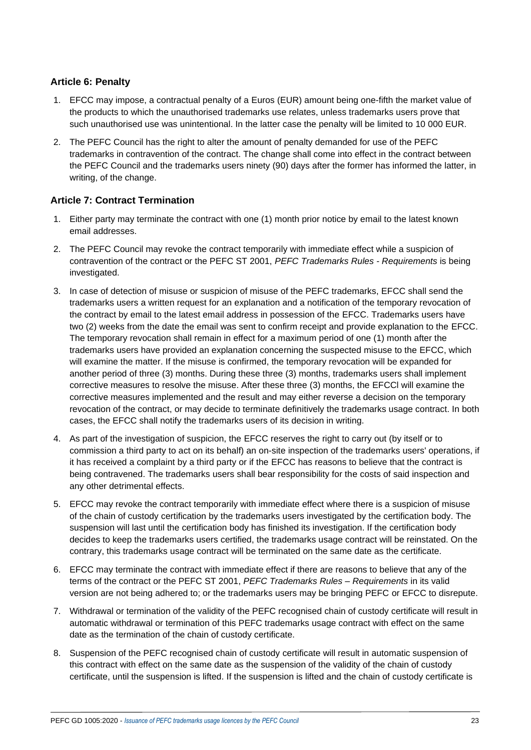# **Article 6: Penalty**

- 1. EFCC may impose, a contractual penalty of a Euros (EUR) amount being one-fifth the market value of the products to which the unauthorised trademarks use relates, unless trademarks users prove that such unauthorised use was unintentional. In the latter case the penalty will be limited to 10 000 EUR.
- 2. The PEFC Council has the right to alter the amount of penalty demanded for use of the PEFC trademarks in contravention of the contract. The change shall come into effect in the contract between the PEFC Council and the trademarks users ninety (90) days after the former has informed the latter, in writing, of the change.

## **Article 7: Contract Termination**

- 1. Either party may terminate the contract with one (1) month prior notice by email to the latest known email addresses.
- 2. The PEFC Council may revoke the contract temporarily with immediate effect while a suspicion of contravention of the contract or the PEFC ST 2001, *PEFC Trademarks Rules - Requirements* is being investigated.
- 3. In case of detection of misuse or suspicion of misuse of the PEFC trademarks, EFCC shall send the trademarks users a written request for an explanation and a notification of the temporary revocation of the contract by email to the latest email address in possession of the EFCC. Trademarks users have two (2) weeks from the date the email was sent to confirm receipt and provide explanation to the EFCC. The temporary revocation shall remain in effect for a maximum period of one (1) month after the trademarks users have provided an explanation concerning the suspected misuse to the EFCC, which will examine the matter. If the misuse is confirmed, the temporary revocation will be expanded for another period of three (3) months. During these three (3) months, trademarks users shall implement corrective measures to resolve the misuse. After these three (3) months, the EFCCl will examine the corrective measures implemented and the result and may either reverse a decision on the temporary revocation of the contract, or may decide to terminate definitively the trademarks usage contract. In both cases, the EFCC shall notify the trademarks users of its decision in writing.
- 4. As part of the investigation of suspicion, the EFCC reserves the right to carry out (by itself or to commission a third party to act on its behalf) an on-site inspection of the trademarks users' operations, if it has received a complaint by a third party or if the EFCC has reasons to believe that the contract is being contravened. The trademarks users shall bear responsibility for the costs of said inspection and any other detrimental effects.
- 5. EFCC may revoke the contract temporarily with immediate effect where there is a suspicion of misuse of the chain of custody certification by the trademarks users investigated by the certification body. The suspension will last until the certification body has finished its investigation. If the certification body decides to keep the trademarks users certified, the trademarks usage contract will be reinstated. On the contrary, this trademarks usage contract will be terminated on the same date as the certificate.
- 6. EFCC may terminate the contract with immediate effect if there are reasons to believe that any of the terms of the contract or the PEFC ST 2001, *PEFC Trademarks Rules – Requirements* in its valid version are not being adhered to; or the trademarks users may be bringing PEFC or EFCC to disrepute.
- 7. Withdrawal or termination of the validity of the PEFC recognised chain of custody certificate will result in automatic withdrawal or termination of this PEFC trademarks usage contract with effect on the same date as the termination of the chain of custody certificate.
- 8. Suspension of the PEFC recognised chain of custody certificate will result in automatic suspension of this contract with effect on the same date as the suspension of the validity of the chain of custody certificate, until the suspension is lifted. If the suspension is lifted and the chain of custody certificate is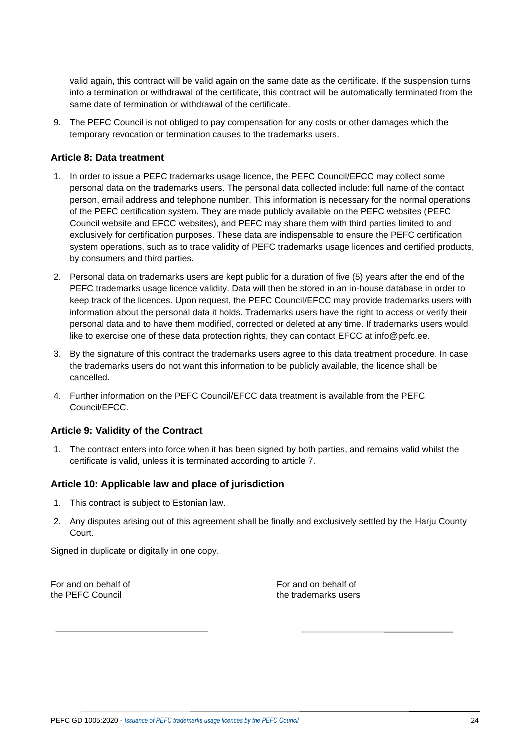valid again, this contract will be valid again on the same date as the certificate. If the suspension turns into a termination or withdrawal of the certificate, this contract will be automatically terminated from the same date of termination or withdrawal of the certificate.

9. The PEFC Council is not obliged to pay compensation for any costs or other damages which the temporary revocation or termination causes to the trademarks users.

#### **Article 8: Data treatment**

- 1. In order to issue a PEFC trademarks usage licence, the PEFC Council/EFCC may collect some personal data on the trademarks users. The personal data collected include: full name of the contact person, email address and telephone number. This information is necessary for the normal operations of the PEFC certification system. They are made publicly available on the PEFC websites (PEFC Council website and EFCC websites), and PEFC may share them with third parties limited to and exclusively for certification purposes. These data are indispensable to ensure the PEFC certification system operations, such as to trace validity of PEFC trademarks usage licences and certified products, by consumers and third parties.
- 2. Personal data on trademarks users are kept public for a duration of five (5) years after the end of the PEFC trademarks usage licence validity. Data will then be stored in an in-house database in order to keep track of the licences. Upon request, the PEFC Council/EFCC may provide trademarks users with information about the personal data it holds. Trademarks users have the right to access or verify their personal data and to have them modified, corrected or deleted at any time. If trademarks users would like to exercise one of these data protection rights, they can contact EFCC at info@pefc.ee.
- 3. By the signature of this contract the trademarks users agree to this data treatment procedure. In case the trademarks users do not want this information to be publicly available, the licence shall be cancelled.
- 4. Further information on the PEFC Council/EFCC data treatment is available from the PEFC Council/EFCC.

### **Article 9: Validity of the Contract**

1. The contract enters into force when it has been signed by both parties, and remains valid whilst the certificate is valid, unless it is terminated according to article 7.

#### **Article 10: Applicable law and place of jurisdiction**

- 1. This contract is subject to Estonian law.
- 2. Any disputes arising out of this agreement shall be finally and exclusively settled by the Harju County Court.

Signed in duplicate or digitally in one copy.

For and on behalf of For and on behalf of the PEFC Council the trademarks users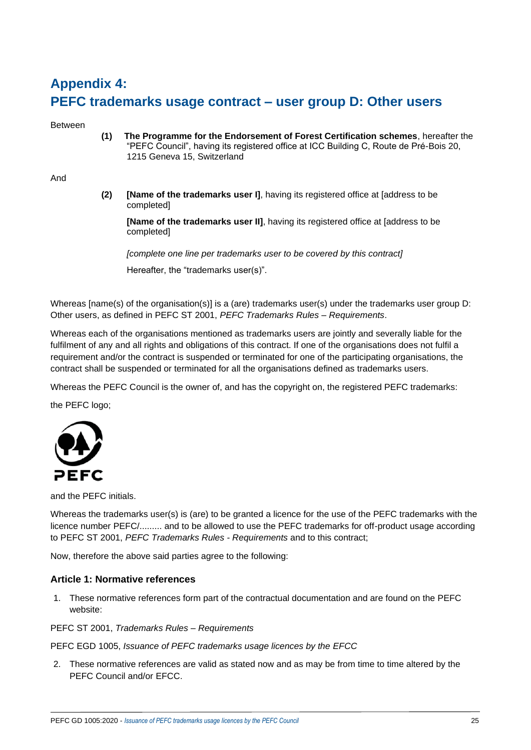# **Appendix 4: PEFC trademarks usage contract – user group D: Other users**

Between

**(1) The Programme for the Endorsement of Forest Certification schemes**, hereafter the "PEFC Council", having its registered office at ICC Building C, Route de Pré-Bois 20, 1215 Geneva 15, Switzerland

And

**(2) [Name of the trademarks user I]**, having its registered office at [address to be completed]

**[Name of the trademarks user II]**, having its registered office at [address to be completed]

*[complete one line per trademarks user to be covered by this contract]* Hereafter, the "trademarks user(s)".

Whereas [name(s) of the organisation(s)] is a (are) trademarks user(s) under the trademarks user group D: Other users, as defined in PEFC ST 2001, *PEFC Trademarks Rules – Requirements*.

Whereas each of the organisations mentioned as trademarks users are jointly and severally liable for the fulfilment of any and all rights and obligations of this contract. If one of the organisations does not fulfil a requirement and/or the contract is suspended or terminated for one of the participating organisations, the contract shall be suspended or terminated for all the organisations defined as trademarks users.

Whereas the PEFC Council is the owner of, and has the copyright on, the registered PEFC trademarks:

the PEFC logo;



and the PEFC initials.

Whereas the trademarks user(s) is (are) to be granted a licence for the use of the PEFC trademarks with the licence number PEFC/......... and to be allowed to use the PEFC trademarks for off-product usage according to PEFC ST 2001, *PEFC Trademarks Rules - Requirements* and to this contract;

Now, therefore the above said parties agree to the following:

#### **Article 1: Normative references**

1. These normative references form part of the contractual documentation and are found on the PEFC website:

PEFC ST 2001, *Trademarks Rules – Requirements*

PEFC EGD 1005, *Issuance of PEFC trademarks usage licences by the EFCC*

2. These normative references are valid as stated now and as may be from time to time altered by the PEFC Council and/or EFCC.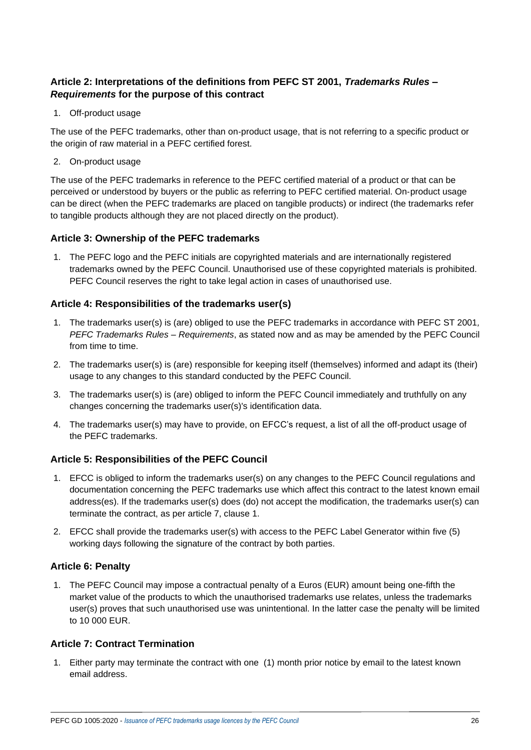# **Article 2: Interpretations of the definitions from PEFC ST 2001,** *Trademarks Rules – Requirements* **for the purpose of this contract**

1. Off-product usage

The use of the PEFC trademarks, other than on-product usage, that is not referring to a specific product or the origin of raw material in a PEFC certified forest.

2. On-product usage

The use of the PEFC trademarks in reference to the PEFC certified material of a product or that can be perceived or understood by buyers or the public as referring to PEFC certified material. On-product usage can be direct (when the PEFC trademarks are placed on tangible products) or indirect (the trademarks refer to tangible products although they are not placed directly on the product).

### **Article 3: Ownership of the PEFC trademarks**

1. The PEFC logo and the PEFC initials are copyrighted materials and are internationally registered trademarks owned by the PEFC Council. Unauthorised use of these copyrighted materials is prohibited. PEFC Council reserves the right to take legal action in cases of unauthorised use.

## **Article 4: Responsibilities of the trademarks user(s)**

- 1. The trademarks user(s) is (are) obliged to use the PEFC trademarks in accordance with PEFC ST 2001*, PEFC Trademarks Rules – Requirements*, as stated now and as may be amended by the PEFC Council from time to time.
- 2. The trademarks user(s) is (are) responsible for keeping itself (themselves) informed and adapt its (their) usage to any changes to this standard conducted by the PEFC Council.
- 3. The trademarks user(s) is (are) obliged to inform the PEFC Council immediately and truthfully on any changes concerning the trademarks user(s)'s identification data.
- 4. The trademarks user(s) may have to provide, on EFCC's request, a list of all the off-product usage of the PEFC trademarks.

### **Article 5: Responsibilities of the PEFC Council**

- 1. EFCC is obliged to inform the trademarks user(s) on any changes to the PEFC Council regulations and documentation concerning the PEFC trademarks use which affect this contract to the latest known email address(es). If the trademarks user(s) does (do) not accept the modification, the trademarks user(s) can terminate the contract, as per article 7, clause 1.
- 2. EFCC shall provide the trademarks user(s) with access to the PEFC Label Generator within five (5) working days following the signature of the contract by both parties.

### **Article 6: Penalty**

1. The PEFC Council may impose a contractual penalty of a Euros (EUR) amount being one-fifth the market value of the products to which the unauthorised trademarks use relates, unless the trademarks user(s) proves that such unauthorised use was unintentional. In the latter case the penalty will be limited to 10 000 EUR.

### **Article 7: Contract Termination**

1. Either party may terminate the contract with one (1) month prior notice by email to the latest known email address.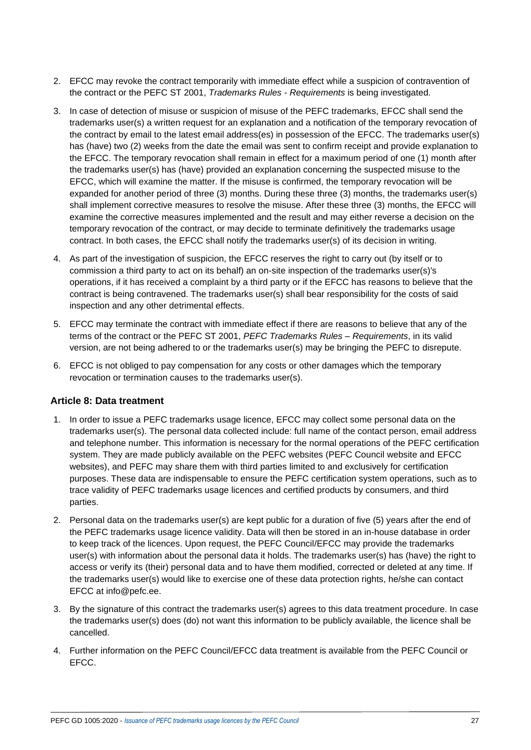- 2. EFCC may revoke the contract temporarily with immediate effect while a suspicion of contravention of the contract or the PEFC ST 2001, *Trademarks Rules - Requirements* is being investigated.
- 3. In case of detection of misuse or suspicion of misuse of the PEFC trademarks, EFCC shall send the trademarks user(s) a written request for an explanation and a notification of the temporary revocation of the contract by email to the latest email address(es) in possession of the EFCC. The trademarks user(s) has (have) two (2) weeks from the date the email was sent to confirm receipt and provide explanation to the EFCC. The temporary revocation shall remain in effect for a maximum period of one (1) month after the trademarks user(s) has (have) provided an explanation concerning the suspected misuse to the EFCC, which will examine the matter. If the misuse is confirmed, the temporary revocation will be expanded for another period of three (3) months. During these three (3) months, the trademarks user(s) shall implement corrective measures to resolve the misuse. After these three (3) months, the EFCC will examine the corrective measures implemented and the result and may either reverse a decision on the temporary revocation of the contract, or may decide to terminate definitively the trademarks usage contract. In both cases, the EFCC shall notify the trademarks user(s) of its decision in writing.
- 4. As part of the investigation of suspicion, the EFCC reserves the right to carry out (by itself or to commission a third party to act on its behalf) an on-site inspection of the trademarks user(s)'s operations, if it has received a complaint by a third party or if the EFCC has reasons to believe that the contract is being contravened. The trademarks user(s) shall bear responsibility for the costs of said inspection and any other detrimental effects.
- 5. EFCC may terminate the contract with immediate effect if there are reasons to believe that any of the terms of the contract or the PEFC ST 2001, *PEFC Trademarks Rules – Requirements*, in its valid version, are not being adhered to or the trademarks user(s) may be bringing the PEFC to disrepute.
- 6. EFCC is not obliged to pay compensation for any costs or other damages which the temporary revocation or termination causes to the trademarks user(s).

### **Article 8: Data treatment**

- 1. In order to issue a PEFC trademarks usage licence, EFCC may collect some personal data on the trademarks user(s). The personal data collected include: full name of the contact person, email address and telephone number. This information is necessary for the normal operations of the PEFC certification system. They are made publicly available on the PEFC websites (PEFC Council website and EFCC websites), and PEFC may share them with third parties limited to and exclusively for certification purposes. These data are indispensable to ensure the PEFC certification system operations, such as to trace validity of PEFC trademarks usage licences and certified products by consumers, and third parties.
- 2. Personal data on the trademarks user(s) are kept public for a duration of five (5) years after the end of the PEFC trademarks usage licence validity. Data will then be stored in an in-house database in order to keep track of the licences. Upon request, the PEFC Council/EFCC may provide the trademarks user(s) with information about the personal data it holds. The trademarks user(s) has (have) the right to access or verify its (their) personal data and to have them modified, corrected or deleted at any time. If the trademarks user(s) would like to exercise one of these data protection rights, he/she can contact EFCC at [info@pefc.ee.](mailto:request@pefc.org)
- 3. By the signature of this contract the trademarks user(s) agrees to this data treatment procedure. In case the trademarks user(s) does (do) not want this information to be publicly available, the licence shall be cancelled.
- 4. Further information on the PEFC Council/EFCC data treatment is available from the PEFC Council or EFCC.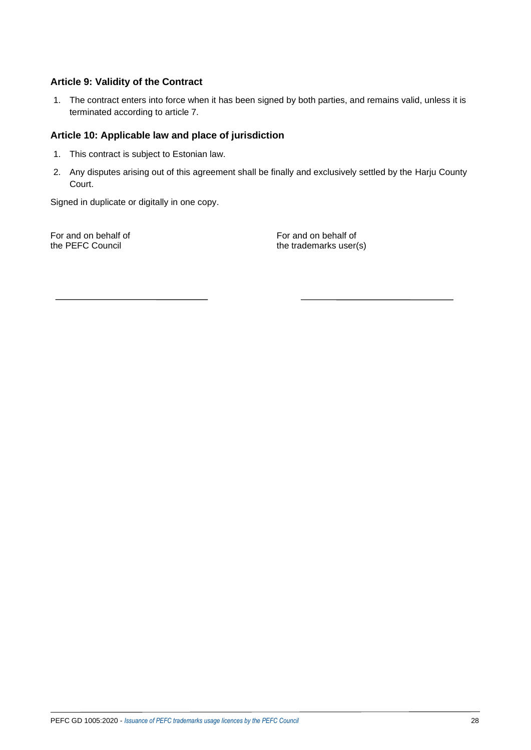## **Article 9: Validity of the Contract**

1. The contract enters into force when it has been signed by both parties, and remains valid, unless it is terminated according to article 7.

### **Article 10: Applicable law and place of jurisdiction**

- 1. This contract is subject to Estonian law.
- 2. Any disputes arising out of this agreement shall be finally and exclusively settled by the Harju County Court.

Signed in duplicate or digitally in one copy.

For and on behalf of For and on behalf of the PEFC Council the trademarks user(s)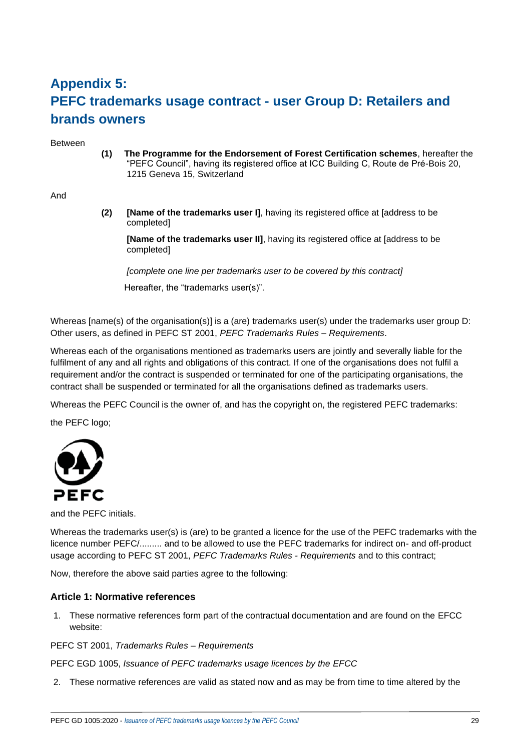# **Appendix 5: PEFC trademarks usage contract - user Group D: Retailers and brands owners**

Between

**(1) The Programme for the Endorsement of Forest Certification schemes**, hereafter the "PEFC Council", having its registered office at ICC Building C, Route de Pré-Bois 20, 1215 Geneva 15, Switzerland

#### And

**(2) [Name of the trademarks user I]**, having its registered office at [address to be completed]

**[Name of the trademarks user II]**, having its registered office at [address to be completed]

*[complete one line per trademarks user to be covered by this contract]* Hereafter, the "trademarks user(s)".

Whereas [name(s) of the organisation(s)] is a (are) trademarks user(s) under the trademarks user group D: Other users, as defined in PEFC ST 2001, *PEFC Trademarks Rules – Requirements*.

Whereas each of the organisations mentioned as trademarks users are jointly and severally liable for the fulfilment of any and all rights and obligations of this contract. If one of the organisations does not fulfil a requirement and/or the contract is suspended or terminated for one of the participating organisations, the contract shall be suspended or terminated for all the organisations defined as trademarks users.

Whereas the PEFC Council is the owner of, and has the copyright on, the registered PEFC trademarks:

the PEFC logo;



and the PEFC initials.

Whereas the trademarks user(s) is (are) to be granted a licence for the use of the PEFC trademarks with the licence number PEFC/......... and to be allowed to use the PEFC trademarks for indirect on- and off-product usage according to PEFC ST 2001, *PEFC Trademarks Rules - Requirements* and to this contract;

Now, therefore the above said parties agree to the following:

#### **Article 1: Normative references**

1. These normative references form part of the contractual documentation and are found on the EFCC website:

PEFC ST 2001, *Trademarks Rules – Requirements*

PEFC EGD 1005, *Issuance of PEFC trademarks usage licences by the EFCC*

2. These normative references are valid as stated now and as may be from time to time altered by the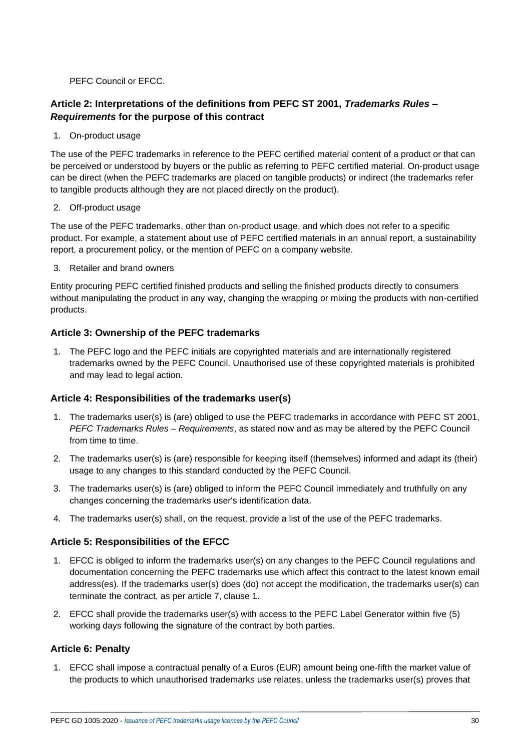PEFC Council or EFCC.

# **Article 2: Interpretations of the definitions from PEFC ST 2001,** *Trademarks Rules – Requirements* **for the purpose of this contract**

1. On-product usage

The use of the PEFC trademarks in reference to the PEFC certified material content of a product or that can be perceived or understood by buyers or the public as referring to PEFC certified material. On-product usage can be direct (when the PEFC trademarks are placed on tangible products) or indirect (the trademarks refer to tangible products although they are not placed directly on the product).

#### 2. Off-product usage

The use of the PEFC trademarks, other than on-product usage, and which does not refer to a specific product. For example, a statement about use of PEFC certified materials in an annual report, a sustainability report, a procurement policy, or the mention of PEFC on a company website.

3. Retailer and brand owners

Entity procuring PEFC certified finished products and selling the finished products directly to consumers without manipulating the product in any way, changing the wrapping or mixing the products with non-certified products.

## **Article 3: Ownership of the PEFC trademarks**

1. The PEFC logo and the PEFC initials are copyrighted materials and are internationally registered trademarks owned by the PEFC Council. Unauthorised use of these copyrighted materials is prohibited and may lead to legal action.

### **Article 4: Responsibilities of the trademarks user(s)**

- 1. The trademarks user(s) is (are) obliged to use the PEFC trademarks in accordance with PEFC ST 2001, *PEFC Trademarks Rules – Requirements*, as stated now and as may be altered by the PEFC Council from time to time.
- 2. The trademarks user(s) is (are) responsible for keeping itself (themselves) informed and adapt its (their) usage to any changes to this standard conducted by the PEFC Council.
- 3. The trademarks user(s) is (are) obliged to inform the PEFC Council immediately and truthfully on any changes concerning the trademarks user's identification data.
- 4. The trademarks user(s) shall, on the request, provide a list of the use of the PEFC trademarks.

### **Article 5: Responsibilities of the EFCC**

- 1. EFCC is obliged to inform the trademarks user(s) on any changes to the PEFC Council regulations and documentation concerning the PEFC trademarks use which affect this contract to the latest known email address(es). If the trademarks user(s) does (do) not accept the modification, the trademarks user(s) can terminate the contract, as per article 7, clause 1.
- 2. EFCC shall provide the trademarks user(s) with access to the PEFC Label Generator within five (5) working days following the signature of the contract by both parties.

### **Article 6: Penalty**

1. EFCC shall impose a contractual penalty of a Euros (EUR) amount being one-fifth the market value of the products to which unauthorised trademarks use relates, unless the trademarks user(s) proves that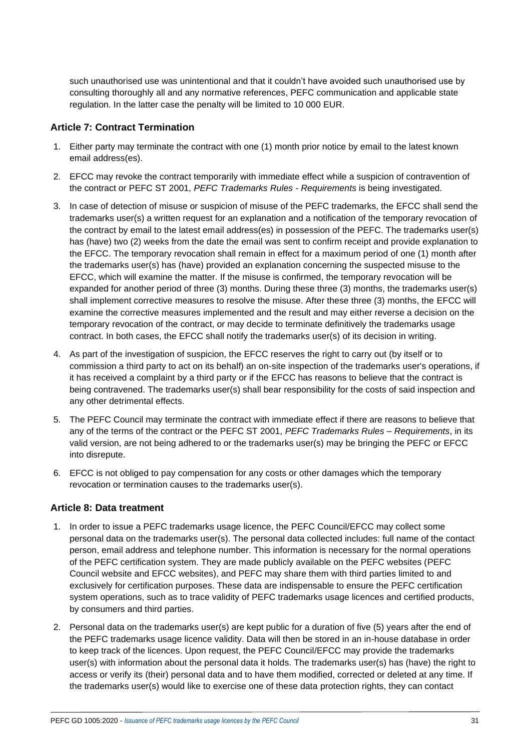such unauthorised use was unintentional and that it couldn't have avoided such unauthorised use by consulting thoroughly all and any normative references, PEFC communication and applicable state regulation. In the latter case the penalty will be limited to 10 000 EUR.

## **Article 7: Contract Termination**

- 1. Either party may terminate the contract with one (1) month prior notice by email to the latest known email address(es).
- 2. EFCC may revoke the contract temporarily with immediate effect while a suspicion of contravention of the contract or PEFC ST 2001, *PEFC Trademarks Rules - Requirements* is being investigated.
- 3. In case of detection of misuse or suspicion of misuse of the PEFC trademarks, the EFCC shall send the trademarks user(s) a written request for an explanation and a notification of the temporary revocation of the contract by email to the latest email address(es) in possession of the PEFC. The trademarks user(s) has (have) two (2) weeks from the date the email was sent to confirm receipt and provide explanation to the EFCC. The temporary revocation shall remain in effect for a maximum period of one (1) month after the trademarks user(s) has (have) provided an explanation concerning the suspected misuse to the EFCC, which will examine the matter. If the misuse is confirmed, the temporary revocation will be expanded for another period of three (3) months. During these three (3) months, the trademarks user(s) shall implement corrective measures to resolve the misuse. After these three (3) months, the EFCC will examine the corrective measures implemented and the result and may either reverse a decision on the temporary revocation of the contract, or may decide to terminate definitively the trademarks usage contract. In both cases, the EFCC shall notify the trademarks user(s) of its decision in writing.
- 4. As part of the investigation of suspicion, the EFCC reserves the right to carry out (by itself or to commission a third party to act on its behalf) an on-site inspection of the trademarks user's operations, if it has received a complaint by a third party or if the EFCC has reasons to believe that the contract is being contravened. The trademarks user(s) shall bear responsibility for the costs of said inspection and any other detrimental effects.
- 5. The PEFC Council may terminate the contract with immediate effect if there are reasons to believe that any of the terms of the contract or the PEFC ST 2001, *PEFC Trademarks Rules – Requirements*, in its valid version, are not being adhered to or the trademarks user(s) may be bringing the PEFC or EFCC into disrepute.
- 6. EFCC is not obliged to pay compensation for any costs or other damages which the temporary revocation or termination causes to the trademarks user(s).

### **Article 8: Data treatment**

- 1. In order to issue a PEFC trademarks usage licence, the PEFC Council/EFCC may collect some personal data on the trademarks user(s). The personal data collected includes: full name of the contact person, email address and telephone number. This information is necessary for the normal operations of the PEFC certification system. They are made publicly available on the PEFC websites (PEFC Council website and EFCC websites), and PEFC may share them with third parties limited to and exclusively for certification purposes. These data are indispensable to ensure the PEFC certification system operations, such as to trace validity of PEFC trademarks usage licences and certified products, by consumers and third parties.
- 2. Personal data on the trademarks user(s) are kept public for a duration of five (5) years after the end of the PEFC trademarks usage licence validity. Data will then be stored in an in-house database in order to keep track of the licences. Upon request, the PEFC Council/EFCC may provide the trademarks user(s) with information about the personal data it holds. The trademarks user(s) has (have) the right to access or verify its (their) personal data and to have them modified, corrected or deleted at any time. If the trademarks user(s) would like to exercise one of these data protection rights, they can contact